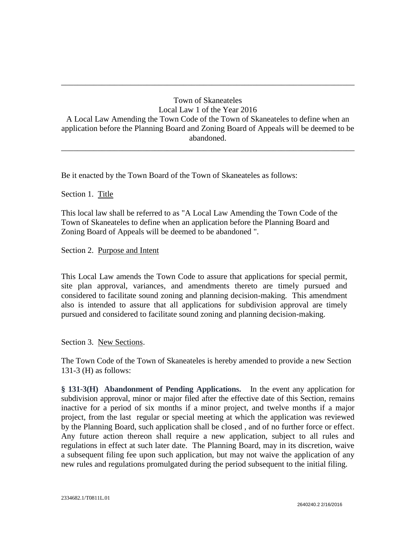## Town of Skaneateles Local Law 1 of the Year 2016 A Local Law Amending the Town Code of the Town of Skaneateles to define when an application before the Planning Board and Zoning Board of Appeals will be deemed to be abandoned.

\_\_\_\_\_\_\_\_\_\_\_\_\_\_\_\_\_\_\_\_\_\_\_\_\_\_\_\_\_\_\_\_\_\_\_\_\_\_\_\_\_\_\_\_\_\_\_\_\_\_\_\_\_\_\_\_\_\_\_\_\_\_\_\_\_\_\_\_\_\_\_\_

\_\_\_\_\_\_\_\_\_\_\_\_\_\_\_\_\_\_\_\_\_\_\_\_\_\_\_\_\_\_\_\_\_\_\_\_\_\_\_\_\_\_\_\_\_\_\_\_\_\_\_\_\_\_\_\_\_\_\_\_\_\_\_\_\_\_\_\_\_\_\_\_

Be it enacted by the Town Board of the Town of Skaneateles as follows:

## Section 1. Title

This local law shall be referred to as "A Local Law Amending the Town Code of the Town of Skaneateles to define when an application before the Planning Board and Zoning Board of Appeals will be deemed to be abandoned ".

Section 2. Purpose and Intent

This Local Law amends the Town Code to assure that applications for special permit, site plan approval, variances, and amendments thereto are timely pursued and considered to facilitate sound zoning and planning decision-making. This amendment also is intended to assure that all applications for subdivision approval are timely pursued and considered to facilitate sound zoning and planning decision-making.

## Section 3. New Sections.

The Town Code of the Town of Skaneateles is hereby amended to provide a new Section 131-3 (H) as follows:

**§ 131-3(H) Abandonment of Pending Applications.** In the event any application for subdivision approval, minor or major filed after the effective date of this Section, remains inactive for a period of six months if a minor project, and twelve months if a major project, from the last regular or special meeting at which the application was reviewed by the Planning Board, such application shall be closed , and of no further force or effect. Any future action thereon shall require a new application, subject to all rules and regulations in effect at such later date. The Planning Board, may in its discretion, waive a subsequent filing fee upon such application, but may not waive the application of any new rules and regulations promulgated during the period subsequent to the initial filing.